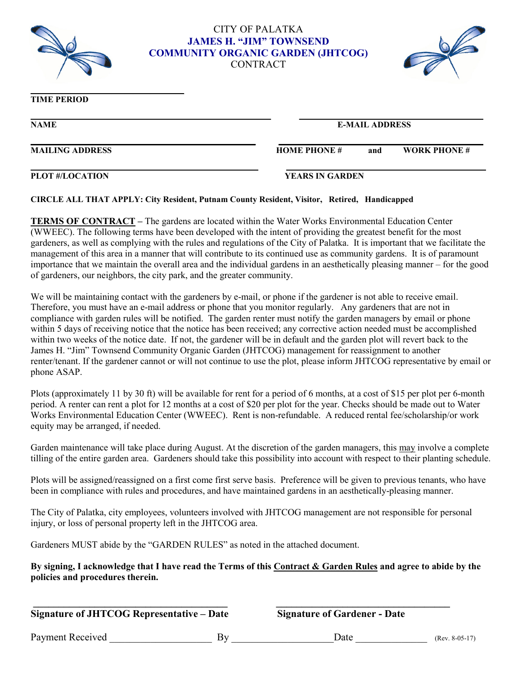

**\_\_\_\_\_\_\_\_\_\_\_\_\_\_\_\_\_\_\_\_\_\_\_\_\_\_\_\_\_\_\_\_\_\_\_\_**

### **CITY OF PALATKA JAMES H. "JIM" TOWNSEND COMMUNITY ORGANIC GARDEN (JHTCOG)** CONTRACT

 **\_\_\_\_\_\_\_\_\_\_\_ \_\_\_\_\_ \_\_\_\_\_\_\_\_\_\_\_\_\_\_\_\_\_\_\_\_\_\_\_\_\_\_\_\_\_\_\_\_\_\_\_\_**

 **\_ \_\_\_\_\_\_\_ \_** 



## **TIME PERIOD**

**NAME E-MAIL ADDRESS**

# **\_\_\_\_\_\_\_\_ \_\_\_\_\_\_\_\_\_\_\_\_\_\_\_\_ \_\_\_**

**MAILING ADDRESS HOME PHONE # and WORK PHONE #** 

#### **PLOT #/LOCATION YEARS IN GARDEN**

#### **CIRCLE ALL THAT APPLY: City Resident, Putnam County Resident, Visitor, Retired, Handicapped**

**TERMS OF CONTRACT –** The gardens are located within the Water Works Environmental Education Center (WWEEC). The following terms have been developed with the intent of providing the greatest benefit for the most gardeners, as well as complying with the rules and regulations of the City of Palatka. It is important that we facilitate the management of this area in a manner that will contribute to its continued use as community gardens. It is of paramount importance that we maintain the overall area and the individual gardens in an aesthetically pleasing manner – for the good of gardeners, our neighbors, the city park, and the greater community.

We will be maintaining contact with the gardeners by e-mail, or phone if the gardener is not able to receive email. Therefore, you must have an e-mail address or phone that you monitor regularly. Any gardeners that are not in compliance with garden rules will be notified. The garden renter must notify the garden managers by email or phone within 5 days of receiving notice that the notice has been received; any corrective action needed must be accomplished within two weeks of the notice date. If not, the gardener will be in default and the garden plot will revert back to the James H. "Jim" Townsend Community Organic Garden (JHTCOG) management for reassignment to another renter/tenant. If the gardener cannot or will not continue to use the plot, please inform JHTCOG representative by email or phone ASAP.

Plots (approximately 11 by 30 ft) will be available for rent for a period of 6 months, at a cost of \$15 per plot per 6-month period. A renter can rent a plot for 12 months at a cost of \$20 per plot for the year. Checks should be made out to Water Works Environmental Education Center (WWEEC). Rent is non-refundable. A reduced rental fee/scholarship/or work equity may be arranged, if needed.

Garden maintenance will take place during August. At the discretion of the garden managers, this may involve a complete tilling of the entire garden area. Gardeners should take this possibility into account with respect to their planting schedule.

Plots will be assigned/reassigned on a first come first serve basis. Preference will be given to previous tenants, who have been in compliance with rules and procedures, and have maintained gardens in an aesthetically-pleasing manner.

The City of Palatka, city employees, volunteers involved with JHTCOG management are not responsible for personal injury, or loss of personal property left in the JHTCOG area.

Gardeners MUST abide by the "GARDEN RULES" as noted in the attached document.

#### **By signing, I acknowledge that I have read the Terms of this Contract & Garden Rules and agree to abide by the policies and procedures therein.**

**\_\_\_\_\_\_\_\_\_\_\_\_\_\_\_\_\_\_\_\_\_\_\_\_\_\_\_\_\_\_\_\_\_\_\_\_\_\_ \_\_\_\_\_\_\_\_\_\_\_\_\_\_\_\_\_\_\_\_\_\_\_\_\_\_\_\_\_\_\_\_\_\_** 

**Signature of JHTCOG Representative – Date Signature of Gardener - Date**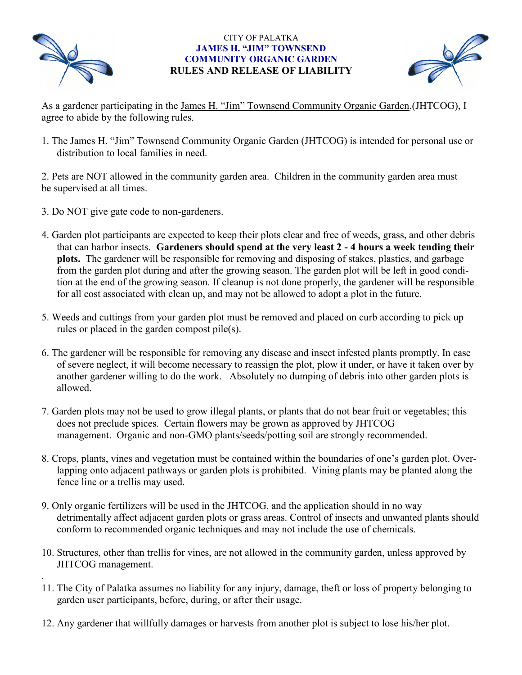

.

### CITY OF PALATKA **JAMES H. "JIM" TOWNSEND COMMUNITY ORGANIC GARDEN RULES AND RELEASE OF LIABILITY**



As a gardener participating in the James H. "Jim" Townsend Community Organic Garden, (JHTCOG), I agree to abide by the following rules.

1. The James H. "Jim" Townsend Community Organic Garden (JHTCOG) is intended for personal use or distribution to local families in need.

2. Pets are NOT allowed in the community garden area. Children in the community garden area must be supervised at all times.

- 3. Do NOT give gate code to non-gardeners.
- 4. Garden plot participants are expected to keep their plots clear and free of weeds, grass, and other debris that can harbor insects. **Gardeners should spend at the very least 2 - 4 hours a week tending their plots.** The gardener will be responsible for removing and disposing of stakes, plastics, and garbage from the garden plot during and after the growing season. The garden plot will be left in good condition at the end of the growing season. If cleanup is not done properly, the gardener will be responsible for all cost associated with clean up, and may not be allowed to adopt a plot in the future.
- 5. Weeds and cuttings from your garden plot must be removed and placed on curb according to pick up rules or placed in the garden compost pile(s).
- 6. The gardener will be responsible for removing any disease and insect infested plants promptly. In case of severe neglect, it will become necessary to reassign the plot, plow it under, or have it taken over by another gardener willing to do the work. Absolutely no dumping of debris into other garden plots is allowed.
- 7. Garden plots may not be used to grow illegal plants, or plants that do not bear fruit or vegetables; this does not preclude spices. Certain flowers may be grown as approved by JHTCOG management. Organic and non-GMO plants/seeds/potting soil are strongly recommended.
- 8. Crops, plants, vines and vegetation must be contained within the boundaries of one's garden plot. Overlapping onto adjacent pathways or garden plots is prohibited. Vining plants may be planted along the fence line or a trellis may used.
- 9. Only organic fertilizers will be used in the JHTCOG, and the application should in no way detrimentally affect adjacent garden plots or grass areas. Control of insects and unwanted plants should conform to recommended organic techniques and may not include the use of chemicals.
- 10. Structures, other than trellis for vines, are not allowed in the community garden, unless approved by JHTCOG management.
- 11. The City of Palatka assumes no liability for any injury, damage, theft or loss of property belonging to garden user participants, before, during, or after their usage.
- 12. Any gardener that willfully damages or harvests from another plot is subject to lose his/her plot.